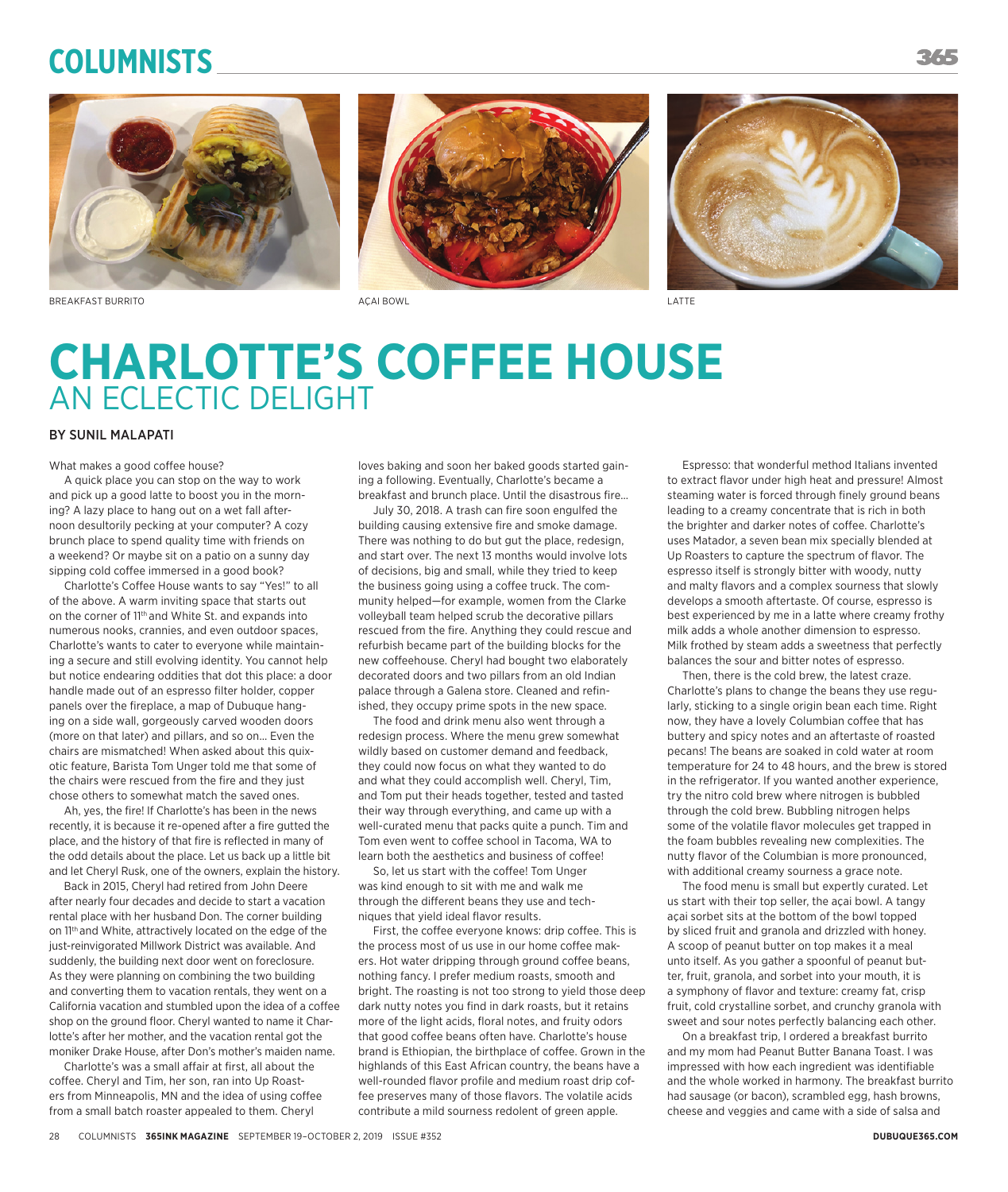# **Columnists**







BREAKFAST BURRITO **AGAI BOWL AGAI BOWL** ACAI BOWL ATTE



# **CHARLOTTE'S COFFEE HOUSE** AN ECLECTIC DELIGHT

### BY SUNIL MALAPATI

What makes a good coffee house?

A quick place you can stop on the way to work and pick up a good latte to boost you in the morning? A lazy place to hang out on a wet fall afternoon desultorily pecking at your computer? A cozy brunch place to spend quality time with friends on a weekend? Or maybe sit on a patio on a sunny day sipping cold coffee immersed in a good book?

Charlotte's Coffee House wants to say "Yes!" to all of the above. A warm inviting space that starts out on the corner of 11<sup>th</sup> and White St. and expands into numerous nooks, crannies, and even outdoor spaces, Charlotte's wants to cater to everyone while maintaining a secure and still evolving identity. You cannot help but notice endearing oddities that dot this place: a door handle made out of an espresso filter holder, copper panels over the fireplace, a map of Dubuque hanging on a side wall, gorgeously carved wooden doors (more on that later) and pillars, and so on… Even the chairs are mismatched! When asked about this quixotic feature, Barista Tom Unger told me that some of the chairs were rescued from the fire and they just chose others to somewhat match the saved ones.

Ah, yes, the fire! If Charlotte's has been in the news recently, it is because it re-opened after a fire gutted the place, and the history of that fire is reflected in many of the odd details about the place. Let us back up a little bit and let Cheryl Rusk, one of the owners, explain the history.

Back in 2015, Cheryl had retired from John Deere after nearly four decades and decide to start a vacation rental place with her husband Don. The corner building on 11th and White, attractively located on the edge of the just-reinvigorated Millwork District was available. And suddenly, the building next door went on foreclosure. As they were planning on combining the two building and converting them to vacation rentals, they went on a California vacation and stumbled upon the idea of a coffee shop on the ground floor. Cheryl wanted to name it Charlotte's after her mother, and the vacation rental got the moniker Drake House, after Don's mother's maiden name.

Charlotte's was a small affair at first, all about the coffee. Cheryl and Tim, her son, ran into Up Roasters from Minneapolis, MN and the idea of using coffee from a small batch roaster appealed to them. Cheryl

loves baking and soon her baked goods started gaining a following. Eventually, Charlotte's became a breakfast and brunch place. Until the disastrous fire…

July 30, 2018. A trash can fire soon engulfed the building causing extensive fire and smoke damage. There was nothing to do but gut the place, redesign, and start over. The next 13 months would involve lots of decisions, big and small, while they tried to keep the business going using a coffee truck. The community helped—for example, women from the Clarke volleyball team helped scrub the decorative pillars rescued from the fire. Anything they could rescue and refurbish became part of the building blocks for the new coffeehouse. Cheryl had bought two elaborately decorated doors and two pillars from an old Indian palace through a Galena store. Cleaned and refinished, they occupy prime spots in the new space.

The food and drink menu also went through a redesign process. Where the menu grew somewhat wildly based on customer demand and feedback, they could now focus on what they wanted to do and what they could accomplish well. Cheryl, Tim, and Tom put their heads together, tested and tasted their way through everything, and came up with a well-curated menu that packs quite a punch. Tim and Tom even went to coffee school in Tacoma, WA to learn both the aesthetics and business of coffee!

So, let us start with the coffee! Tom Unger was kind enough to sit with me and walk me through the different beans they use and techniques that yield ideal flavor results.

First, the coffee everyone knows: drip coffee. This is the process most of us use in our home coffee makers. Hot water dripping through ground coffee beans, nothing fancy. I prefer medium roasts, smooth and bright. The roasting is not too strong to yield those deep dark nutty notes you find in dark roasts, but it retains more of the light acids, floral notes, and fruity odors that good coffee beans often have. Charlotte's house brand is Ethiopian, the birthplace of coffee. Grown in the highlands of this East African country, the beans have a well-rounded flavor profile and medium roast drip coffee preserves many of those flavors. The volatile acids contribute a mild sourness redolent of green apple.

Espresso: that wonderful method Italians invented to extract flavor under high heat and pressure! Almost steaming water is forced through finely ground beans leading to a creamy concentrate that is rich in both the brighter and darker notes of coffee. Charlotte's uses Matador, a seven bean mix specially blended at Up Roasters to capture the spectrum of flavor. The espresso itself is strongly bitter with woody, nutty and malty flavors and a complex sourness that slowly develops a smooth aftertaste. Of course, espresso is best experienced by me in a latte where creamy frothy milk adds a whole another dimension to espresso. Milk frothed by steam adds a sweetness that perfectly balances the sour and bitter notes of espresso.

Then, there is the cold brew, the latest craze. Charlotte's plans to change the beans they use regularly, sticking to a single origin bean each time. Right now, they have a lovely Columbian coffee that has buttery and spicy notes and an aftertaste of roasted pecans! The beans are soaked in cold water at room temperature for 24 to 48 hours, and the brew is stored in the refrigerator. If you wanted another experience, try the nitro cold brew where nitrogen is bubbled through the cold brew. Bubbling nitrogen helps some of the volatile flavor molecules get trapped in the foam bubbles revealing new complexities. The nutty flavor of the Columbian is more pronounced, with additional creamy sourness a grace note.

The food menu is small but expertly curated. Let us start with their top seller, the açai bowl. A tangy açai sorbet sits at the bottom of the bowl topped by sliced fruit and granola and drizzled with honey. A scoop of peanut butter on top makes it a meal unto itself. As you gather a spoonful of peanut butter, fruit, granola, and sorbet into your mouth, it is a symphony of flavor and texture: creamy fat, crisp fruit, cold crystalline sorbet, and crunchy granola with sweet and sour notes perfectly balancing each other.

On a breakfast trip, I ordered a breakfast burrito and my mom had Peanut Butter Banana Toast. I was impressed with how each ingredient was identifiable and the whole worked in harmony. The breakfast burrito had sausage (or bacon), scrambled egg, hash browns, cheese and veggies and came with a side of salsa and